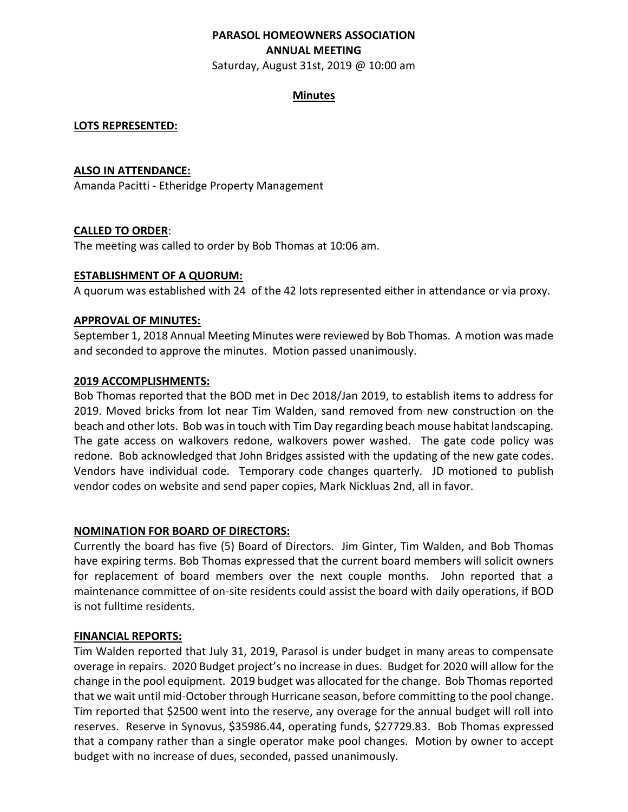# **PARASOL HOMEOWNERS ASSOCIATION ANNUAL MEETING**

Saturday, August 31st, 2019 @ 10:00 am

## **Minutes**

## **LOTS REPRESENTED:**

#### **ALSO IN ATTENDANCE:**

Amanda Pacitti - Etheridge Property Management

## **CALLED TO ORDER**:

The meeting was called to order by Bob Thomas at 10:06 am.

## **ESTABLISHMENT OF A QUORUM:**

A quorum was established with 24 of the 42 lots represented either in attendance or via proxy.

## **APPROVAL OF MINUTES:**

September 1, 2018 Annual Meeting Minutes were reviewed by Bob Thomas. A motion was made and seconded to approve the minutes. Motion passed unanimously.

#### **2019 ACCOMPLISHMENTS:**

Bob Thomas reported that the BOD met in Dec 2018/Jan 2019, to establish items to address for 2019. Moved bricks from lot near Tim Walden, sand removed from new construction on the beach and other lots. Bob was in touch with Tim Day regarding beach mouse habitat landscaping. The gate access on walkovers redone, walkovers power washed. The gate code policy was redone. Bob acknowledged that John Bridges assisted with the updating of the new gate codes. Vendors have individual code. Temporary code changes quarterly. JD motioned to publish vendor codes on website and send paper copies, Mark Nickluas 2nd, all in favor.

#### **NOMINATION FOR BOARD OF DIRECTORS:**

Currently the board has five (5) Board of Directors. Jim Ginter, Tim Walden, and Bob Thomas have expiring terms. Bob Thomas expressed that the current board members will solicit owners for replacement of board members over the next couple months. John reported that a maintenance committee of on-site residents could assist the board with daily operations, if BOD is not fulltime residents.

#### **FINANCIAL REPORTS:**

Tim Walden reported that July 31, 2019, Parasol is under budget in many areas to compensate overage in repairs. 2020 Budget project's no increase in dues. Budget for 2020 will allow for the change in the pool equipment. 2019 budget was allocated for the change. Bob Thomas reported that we wait until mid-October through Hurricane season, before committing to the pool change. Tim reported that \$2500 went into the reserve, any overage for the annual budget will roll into reserves. Reserve in Synovus, \$35986.44, operating funds, \$27729.83. Bob Thomas expressed that a company rather than a single operator make pool changes. Motion by owner to accept budget with no increase of dues, seconded, passed unanimously.